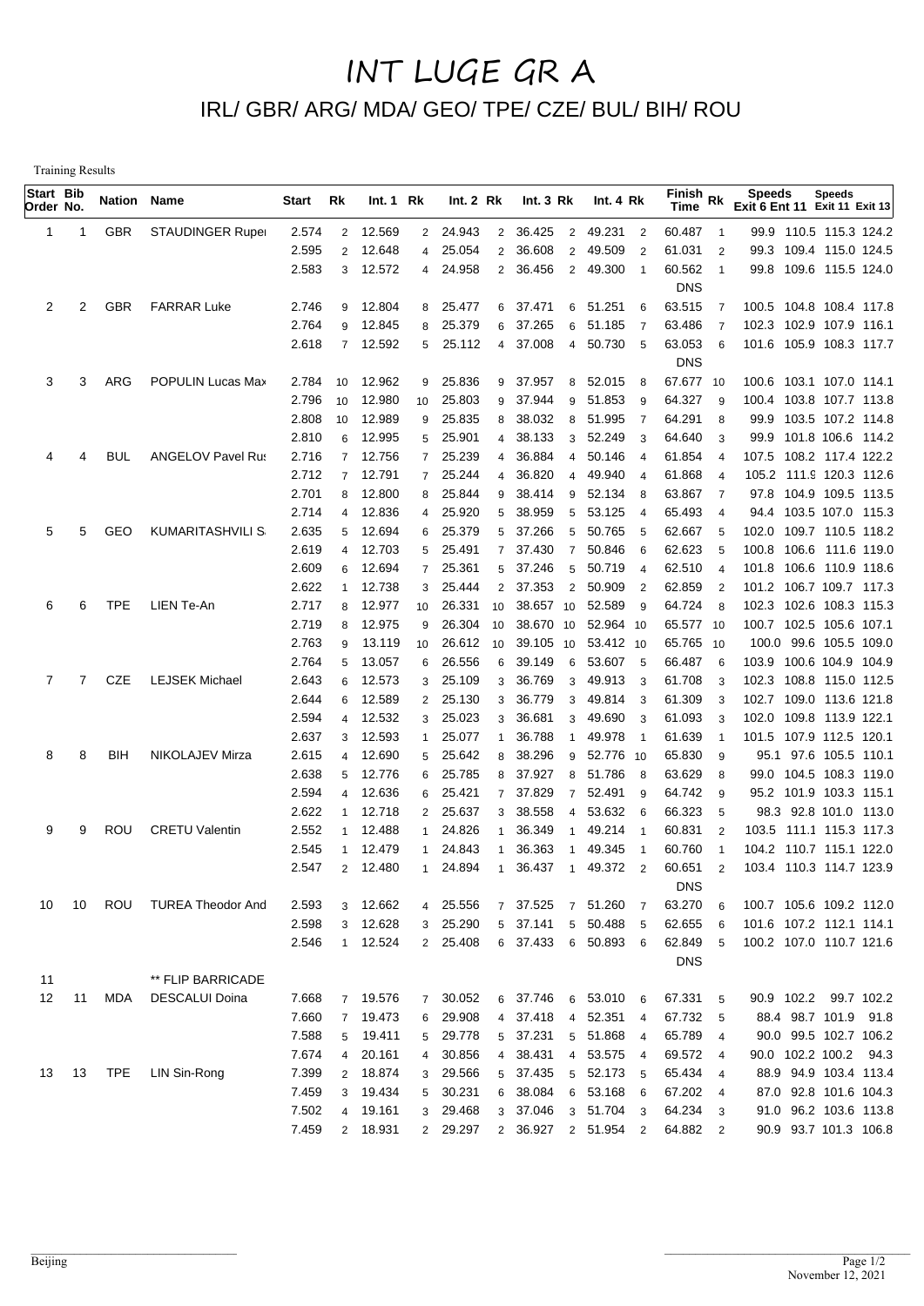## INT LUGE GR A IRL/ GBR/ ARG/ MDA/ GEO/ TPE/ CZE/ BUL/ BIH/ ROU

Training Results

| Start Bib<br>Order No. |    | <b>Nation Name</b> |                          | Start          | Rk             | Int.1 Rk         |                | Int. 2 Rk            |                | Int. $3 Rk$          |                     | Int. $4 \, Rk$       |                | $F$ inish Rk<br>Time |                     | <b>Speeds</b><br>Exit 6 Ent 11 Exit 11 Exit 13 |       | <b>Speeds</b>                                    |  |
|------------------------|----|--------------------|--------------------------|----------------|----------------|------------------|----------------|----------------------|----------------|----------------------|---------------------|----------------------|----------------|----------------------|---------------------|------------------------------------------------|-------|--------------------------------------------------|--|
| 1                      | 1  | <b>GBR</b>         | <b>STAUDINGER Ruper</b>  | 2.574          | $\overline{2}$ | 12.569           |                | 2 24.943             | 2              | 36.425               |                     | 2 49.231 2           |                | 60.487               | $\overline{1}$      |                                                |       | 99.9 110.5 115.3 124.2                           |  |
|                        |    |                    |                          | 2.595          | $\overline{2}$ | 12.648           | $\overline{4}$ | 25.054               | 2              | 36.608               | $\overline{2}$      | 49.509               | $\overline{2}$ | 61.031               | $\overline{2}$      |                                                |       | 99.3 109.4 115.0 124.5                           |  |
|                        |    |                    |                          | 2.583          |                | 3 12.572         | 4              | 24.958               | $\overline{2}$ | 36.456               |                     | 2 49.300             | $\overline{1}$ | 60.562               | $\overline{1}$      |                                                |       | 99.8 109.6 115.5 124.0                           |  |
|                        |    |                    |                          |                |                |                  |                |                      |                |                      |                     |                      |                | <b>DNS</b>           |                     |                                                |       |                                                  |  |
| 2                      | 2  | <b>GBR</b>         | <b>FARRAR Luke</b>       | 2.746          | 9              | 12.804           |                | 8 25.477             | 6              | 37.471               |                     | 6 51.251             | 6              | 63.515               | $\overline{7}$      | 100.5 104.8 108.4 117.8                        |       |                                                  |  |
|                        |    |                    |                          | 2.764          | 9              | 12.845           | 8              | 25.379               | 6              | 37.265               | 6                   | 51.185               | $\overline{7}$ | 63.486               | $\overline{7}$      | 102.3 102.9 107.9 116.1                        |       |                                                  |  |
|                        |    |                    |                          | 2.618          | $\overline{7}$ | 12.592           | 5              | 25.112               | $\overline{4}$ | 37.008               |                     | 4 50.730             | 5              | 63.053               | 6                   | 101.6 105.9 108.3 117.7                        |       |                                                  |  |
|                        |    |                    |                          |                |                |                  |                |                      |                |                      |                     |                      |                | <b>DNS</b>           |                     |                                                |       |                                                  |  |
| 3                      | 3  | ARG                | POPULIN Lucas Max        | 2.784          | 10             | 12.962           | 9              | 25.836               | 9              | 37.957               | 8                   | 52.015               | - 8            | 67.677 10            |                     | 100.6 103.1 107.0 114.1                        |       |                                                  |  |
|                        |    |                    |                          | 2.796          | 10             | 12.980           | 10             | 25.803               | 9              | 37.944               | 9                   | 51.853               | - 9            | 64.327               | 9                   | 100.4 103.8 107.7 113.8                        |       |                                                  |  |
|                        |    |                    |                          | 2.808          | 10             | 12.989           | 9              | 25.835               | 8              | 38.032               | 8                   | 51.995               | $\overline{7}$ | 64.291               | 8                   |                                                |       | 99.9 103.5 107.2 114.8                           |  |
|                        |    |                    |                          | 2.810          | 6              | 12.995           | 5              | 25.901               | $\overline{4}$ | 38.133               | 3                   | 52.249               | -3             | 64.640               | 3                   |                                                |       | 99.9 101.8 106.6 114.2                           |  |
| 4                      | 4  | BUL                | <b>ANGELOV Pavel Rus</b> | 2.716          | $\overline{7}$ | 12.756           | $\overline{7}$ | 25.239               | 4              | 36.884               | 4                   | 50.146               | $\overline{4}$ | 61.854               | $\overline{4}$      | 107.5 108.2 117.4 122.2                        |       |                                                  |  |
|                        |    |                    |                          | 2.712          | $\overline{7}$ | 12.791           | $7^{\circ}$    | 25.244               | $\overline{4}$ | 36.820               | 4                   | 49.940               | $\overline{4}$ | 61.868               | $\overline{4}$      | 105.2 111.9 120.3 112.6                        |       |                                                  |  |
|                        |    |                    |                          | 2.701<br>2.714 | 8<br>4         | 12.800<br>12.836 | 8              | 25.844<br>25.920     | 9<br>5         | 38.414<br>38.959     | 9                   | 52.134<br>53.125     | - 8            | 63.867<br>65.493     | 7<br>$\overline{4}$ |                                                |       | 97.8 104.9 109.5 113.5<br>94.4 103.5 107.0 115.3 |  |
| 5                      | 5  | GEO                | <b>KUMARITASHVILI S</b>  | 2.635          | 5              | 12.694           | 4              | 25.379               | 5              | 37.266               | 5                   | 50.765               | $\overline{4}$ | 62.667               |                     | 102.0                                          |       | 109.7 110.5 118.2                                |  |
|                        |    |                    |                          | 2.619          | 4              | 12.703           | 6<br>5         | 25.491               | $\overline{7}$ | 37.430               | 5<br>$\overline{7}$ | 50.846               | - 5<br>6       | 62.623               | 5<br>5              | 100.8                                          | 106.6 | 111.6 119.0                                      |  |
|                        |    |                    |                          | 2.609          | 6              | 12.694           | $\overline{7}$ | 25.361               | 5              | 37.246               | 5                   | 50.719               | $\overline{4}$ | 62.510               | $\overline{4}$      | 101.8 106.6 110.9 118.6                        |       |                                                  |  |
|                        |    |                    |                          | 2.622          |                | 12.738           | 3              | 25.444               | $\overline{2}$ | 37.353               | $\overline{2}$      | 50.909               | $\overline{2}$ | 62.859               | $\overline{2}$      | 101.2 106.7 109.7 117.3                        |       |                                                  |  |
| 6                      | 6  | <b>TPE</b>         | LIEN Te-An               | 2.717          | 8              | 12.977           | 10             | 26.331               | 10             | 38.657               | 10                  | 52.589               | - 9            | 64.724               | 8                   | 102.3 102.6 108.3 115.3                        |       |                                                  |  |
|                        |    |                    |                          | 2.719          | 8              | 12.975           | 9              | 26.304               | 10             | 38.670               | 10                  | 52.964 10            |                | 65.577 10            |                     | 100.7 102.5 105.6 107.1                        |       |                                                  |  |
|                        |    |                    |                          | 2.763          | 9              | 13.119           | 10             | 26.612               | 10             | 39.105               | 10                  | 53.412 10            |                | 65.765 10            |                     |                                                |       | 100.0 99.6 105.5 109.0                           |  |
|                        |    |                    |                          | 2.764          | 5              | 13.057           | 6              | 26.556               | 6              | 39.149               | 6                   | 53.607               | - 5            | 66.487               | 6                   | 103.9                                          |       | 100.6 104.9 104.9                                |  |
| 7                      | 7  | CZE                | <b>LEJSEK Michael</b>    | 2.643          | 6              | 12.573           | 3              | 25.109               | 3              | 36.769               | 3                   | 49.913               | -3             | 61.708               | 3                   | 102.3                                          |       | 108.8 115.0 112.5                                |  |
|                        |    |                    |                          | 2.644          | 6              | 12.589           | $\overline{2}$ | 25.130               | 3              | 36.779               | 3                   | 49.814               | $\mathbf{3}$   | 61.309               | 3                   | 102.7                                          |       | 109.0 113.6 121.8                                |  |
|                        |    |                    |                          | 2.594          | 4              | 12.532           | 3              | 25.023               | 3              | 36.681               | 3                   | 49.690               | -3             | 61.093               | 3                   | 102.0                                          |       | 109.8 113.9 122.1                                |  |
|                        |    |                    |                          | 2.637          | 3              | 12.593           | $\mathbf{1}$   | 25.077               | $\mathbf 1$    | 36.788               | -1                  | 49.978               | $\overline{1}$ | 61.639               | $\mathbf{1}$        | 101.5 107.9 112.5 120.1                        |       |                                                  |  |
| 8                      | 8  | BIH                | NIKOLAJEV Mirza          | 2.615          | 4              | 12.690           | 5              | 25.642               | 8              | 38.296               | 9                   | 52.776 10            |                | 65.830               | 9                   | 95.1                                           |       | 97.6 105.5 110.1                                 |  |
|                        |    |                    |                          | 2.638          | 5              | 12.776           | 6              | 25.785               | 8              | 37.927               | 8                   | 51.786               | - 8            | 63.629               | 8                   |                                                |       | 99.0 104.5 108.3 119.0                           |  |
|                        |    |                    |                          | 2.594          | 4              | 12.636           | 6              | 25.421               | $\overline{7}$ | 37.829               | $\overline{7}$      | 52.491               | - 9            | 64.742               | 9                   |                                                |       | 95.2 101.9 103.3 115.1                           |  |
|                        |    |                    |                          | 2.622          | $\mathbf 1$    | 12.718           | $\overline{2}$ | 25.637               | 3              | 38.558               | $\overline{4}$      | 53.632               | - 6            | 66.323               | 5                   |                                                |       | 98.3 92.8 101.0 113.0                            |  |
| 9                      | 9  | ROU                | <b>CRETU Valentin</b>    | 2.552          |                | 12.488           | $\mathbf{1}$   | 24.826               | $\mathbf{1}$   | 36.349               | -1                  | 49.214               | $\overline{1}$ | 60.831               | $\overline{2}$      | 103.5 111.1 115.3 117.3                        |       |                                                  |  |
|                        |    |                    |                          | 2.545          |                | 12.479           | 1              | 24.843               | -1             | 36.363               | -1                  | 49.345               | -1             | 60.760               | -1                  | 104.2 110.7 115.1 122.0                        |       |                                                  |  |
|                        |    |                    |                          | 2.547          |                | 2 12.480         | $\mathbf{1}$   | 24.894               | $\mathbf{1}$   | 36.437               | $\overline{1}$      | 49.372 2             |                | 60.651               | $\overline{2}$      | 103.4 110.3 114.7 123.9                        |       |                                                  |  |
|                        |    | ROU                |                          |                |                |                  |                |                      |                |                      |                     |                      |                | <b>DNS</b>           |                     | 100.7 105.6 109.2 112.0                        |       |                                                  |  |
| 10                     | 10 |                    | TUREA Theodor And        | 2.593<br>2.598 | 3<br>3         | 12.662<br>12.628 |                | 4 25.556<br>3 25.290 |                | 7 37.525<br>5 37.141 | $\overline{7}$      | 51.260<br>5 50.488 5 | $\overline{7}$ | 63.270<br>62.655     | 6<br>6              | 101.6 107.2 112.1 114.1                        |       |                                                  |  |
|                        |    |                    |                          | 2.546          |                | 1 12.524         |                | 2 25.408             |                | 6 37.433 6 50.893 6  |                     |                      |                | 62.849               | 5                   | 100.2 107.0 110.7 121.6                        |       |                                                  |  |
|                        |    |                    |                          |                |                |                  |                |                      |                |                      |                     |                      |                | <b>DNS</b>           |                     |                                                |       |                                                  |  |
| 11                     |    |                    | ** FLIP BARRICADE        |                |                |                  |                |                      |                |                      |                     |                      |                |                      |                     |                                                |       |                                                  |  |
| 12                     | 11 | MDA                | <b>DESCALUI Doina</b>    | 7.668          | $7^{\circ}$    | 19.576           | $7^{\circ}$    | 30.052               |                | 6 37.746             | 6                   | 53.010 6             |                | 67.331 5             |                     | 90.9 102.2 99.7 102.2                          |       |                                                  |  |
|                        |    |                    |                          | 7.660          | $\overline{7}$ | 19.473           | 6              | 29.908               |                | 4 37.418             | $\overline{4}$      | 52.351 4             |                | 67.732 5             |                     |                                                |       | 88.4 98.7 101.9 91.8                             |  |
|                        |    |                    |                          | 7.588          | 5              | 19.411           |                | 5 29.778             |                | 5 37.231             |                     | 5 51.868 4           |                | 65.789 4             |                     |                                                |       | 90.0 99.5 102.7 106.2                            |  |
|                        |    |                    |                          | 7.674          | 4              | 20.161           | $\overline{4}$ | 30.856               |                | 4 38.431             |                     | 4 53.575 4           |                | 69.572 4             |                     | 90.0 102.2 100.2 94.3                          |       |                                                  |  |
| 13                     | 13 | TPE                | LIN Sin-Rong             | 7.399          | $\overline{2}$ | 18.874           | 3              | 29.566               |                | 5 37.435             |                     | 5 52.173 5           |                | 65.434 4             |                     |                                                |       | 88.9 94.9 103.4 113.4                            |  |
|                        |    |                    |                          | 7.459          | 3              | 19.434           | 5 <sup>5</sup> | 30.231               |                | 6 38.084             |                     | 6 53.168 6           |                | 67.202 4             |                     |                                                |       | 87.0 92.8 101.6 104.3                            |  |
|                        |    |                    |                          | 7.502          | $\overline{4}$ | 19.161           | 3 <sup>1</sup> | 29.468               |                | 3 37.046             |                     | 3 51.704 3           |                | 64.234 3             |                     |                                                |       | 91.0 96.2 103.6 113.8                            |  |
|                        |    |                    |                          | 7.459          |                | 2 18.931         |                | 2 29.297             |                | 2 36.927             |                     | 2 51.954 2           |                | 64.882 2             |                     |                                                |       | 90.9 93.7 101.3 106.8                            |  |